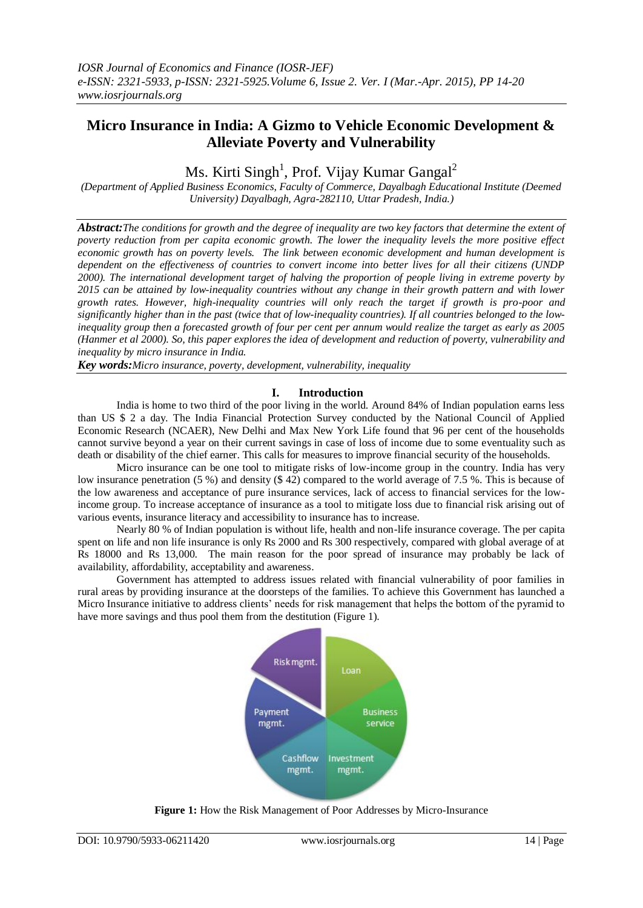# **Micro Insurance in India: A Gizmo to Vehicle Economic Development & Alleviate Poverty and Vulnerability**

Ms. Kirti Singh<sup>1</sup>, Prof. Vijay Kumar Gangal<sup>2</sup>

*(Department of Applied Business Economics, Faculty of Commerce, Dayalbagh Educational Institute (Deemed University) Dayalbagh, Agra-282110, Uttar Pradesh, India.)*

*Abstract:The conditions for growth and the degree of inequality are two key factors that determine the extent of poverty reduction from per capita economic growth. The lower the inequality levels the more positive effect economic growth has on poverty levels. The link between economic development and human development is dependent on the effectiveness of countries to convert income into better lives for all their citizens (UNDP 2000). The international development target of halving the proportion of people living in extreme poverty by 2015 can be attained by low-inequality countries without any change in their growth pattern and with lower growth rates. However, high-inequality countries will only reach the target if growth is pro-poor and significantly higher than in the past (twice that of low-inequality countries). If all countries belonged to the lowinequality group then a forecasted growth of four per cent per annum would realize the target as early as 2005 (Hanmer et al 2000). So, this paper explores the idea of development and reduction of poverty, vulnerability and inequality by micro insurance in India.*

*Key words:Micro insurance, poverty, development, vulnerability, inequality*

## **I. Introduction**

India is home to two third of the poor living in the world. Around 84% of Indian population earns less than US \$ 2 a day. The India Financial Protection Survey conducted by the National Council of Applied Economic Research (NCAER), New Delhi and Max New York Life found that 96 per cent of the households cannot survive beyond a year on their current savings in case of loss of income due to some eventuality such as death or disability of the chief earner. This calls for measures to improve financial security of the households.

Micro insurance can be one tool to mitigate risks of low-income group in the country. India has very low insurance penetration (5 %) and density (\$ 42) compared to the world average of 7.5 %. This is because of the low awareness and acceptance of pure insurance services, lack of access to financial services for the lowincome group. To increase acceptance of insurance as a tool to mitigate loss due to financial risk arising out of various events, insurance literacy and accessibility to insurance has to increase.

Nearly 80 % of Indian population is without life, health and non-life insurance coverage. The per capita spent on life and non life insurance is only Rs 2000 and Rs 300 respectively, compared with global average of at Rs 18000 and Rs 13,000. The main reason for the poor spread of insurance may probably be lack of availability, affordability, acceptability and awareness.

Government has attempted to address issues related with financial vulnerability of poor families in rural areas by providing insurance at the doorsteps of the families. To achieve this Government has launched a Micro Insurance initiative to address clients" needs for risk management that helps the bottom of the pyramid to have more savings and thus pool them from the destitution (Figure 1).



**Figure 1:** How the Risk Management of Poor Addresses by Micro-Insurance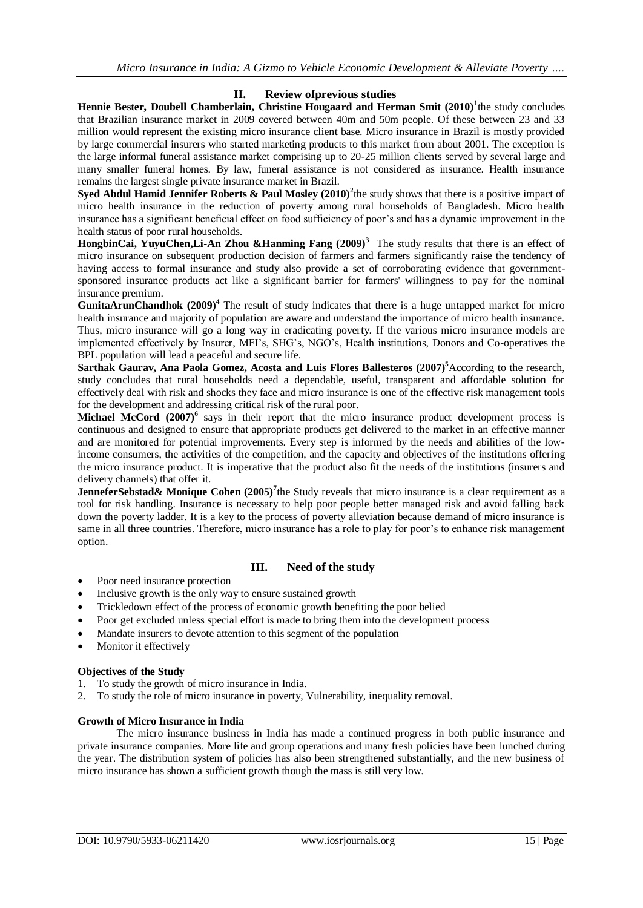# **II. Review ofprevious studies**

Hennie Bester, Doubell Chamberlain, Christine Hougaard and Herman Smit (2010)<sup>1</sup>the study concludes that Brazilian insurance market in 2009 covered between 40m and 50m people. Of these between 23 and 33 million would represent the existing micro insurance client base. Micro insurance in Brazil is mostly provided by large commercial insurers who started marketing products to this market from about 2001. The exception is the large informal funeral assistance market comprising up to 20-25 million clients served by several large and many smaller funeral homes. By law, funeral assistance is not considered as insurance. Health insurance remains the largest single private insurance market in Brazil.

**Syed Abdul Hamid Jennifer Roberts & Paul Mosley (2010)<sup>2</sup>** the study shows that there is a positive impact of micro health insurance in the reduction of poverty among rural households of Bangladesh. Micro health insurance has a significant beneficial effect on food sufficiency of poor's and has a dynamic improvement in the health status of poor rural households.

**HongbinCai, YuyuChen,Li-An Zhou &Hanming Fang (2009)<sup>3</sup>** The study results that there is an effect of micro insurance on subsequent production decision of farmers and farmers significantly raise the tendency of having access to formal insurance and study also provide a set of corroborating evidence that governmentsponsored insurance products act like a significant barrier for farmers' willingness to pay for the nominal insurance premium.

**GunitaArunChandhok (2009)<sup>4</sup>** The result of study indicates that there is a huge untapped market for micro health insurance and majority of population are aware and understand the importance of micro health insurance. Thus, micro insurance will go a long way in eradicating poverty. If the various micro insurance models are implemented effectively by Insurer, MFI"s, SHG"s, NGO"s, Health institutions, Donors and Co-operatives the BPL population will lead a peaceful and secure life.

**Sarthak Gaurav, Ana Paola Gomez, Acosta and Luis Flores Ballesteros (2007)<sup>5</sup>**According to the research, study concludes that rural households need a dependable, useful, transparent and affordable solution for effectively deal with risk and shocks they face and micro insurance is one of the effective risk management tools for the development and addressing critical risk of the rural poor.

Michael McCord (2007)<sup>6</sup> says in their report that the micro insurance product development process is continuous and designed to ensure that appropriate products get delivered to the market in an effective manner and are monitored for potential improvements. Every step is informed by the needs and abilities of the lowincome consumers, the activities of the competition, and the capacity and objectives of the institutions offering the micro insurance product. It is imperative that the product also fit the needs of the institutions (insurers and delivery channels) that offer it.

**JenneferSebstad& Monique Cohen (2005)<sup>7</sup>the Study reveals that micro insurance is a clear requirement as a** tool for risk handling. Insurance is necessary to help poor people better managed risk and avoid falling back down the poverty ladder. It is a key to the process of poverty alleviation because demand of micro insurance is same in all three countries. Therefore, micro insurance has a role to play for poor's to enhance risk management option.

# **III. Need of the study**

- Poor need insurance protection
- Inclusive growth is the only way to ensure sustained growth
- Trickledown effect of the process of economic growth benefiting the poor belied
- Poor get excluded unless special effort is made to bring them into the development process
- Mandate insurers to devote attention to this segment of the population
- Monitor it effectively

## **Objectives of the Study**

- 1. To study the growth of micro insurance in India.
- 2. To study the role of micro insurance in poverty, Vulnerability, inequality removal.

## **Growth of Micro Insurance in India**

The micro insurance business in India has made a continued progress in both public insurance and private insurance companies. More life and group operations and many fresh policies have been lunched during the year. The distribution system of policies has also been strengthened substantially, and the new business of micro insurance has shown a sufficient growth though the mass is still very low.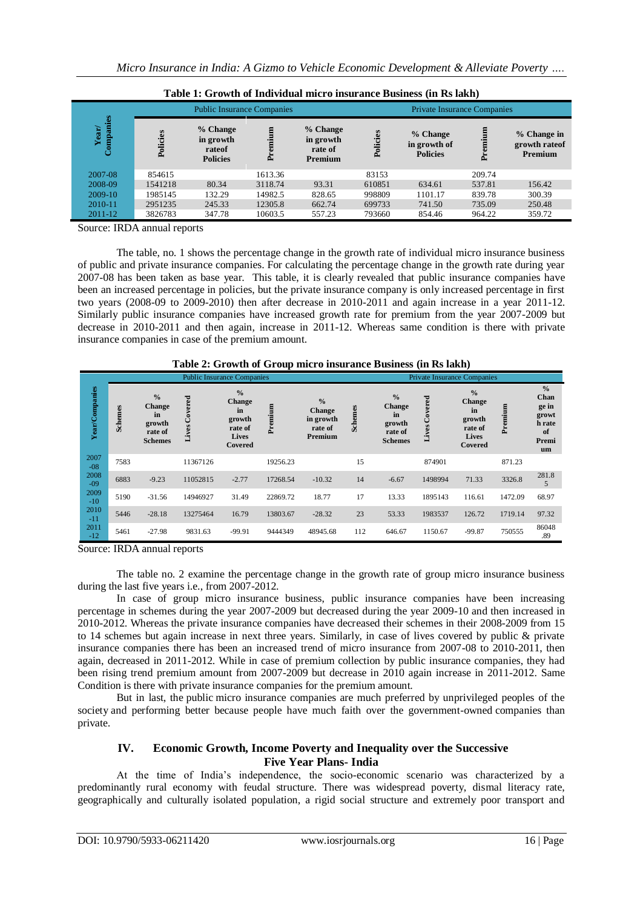| Table 1: Growth of Individual micro insurance Business (in Rs lakh) |                                   |                                                    |           |                                             |                                    |                                             |        |                                          |  |
|---------------------------------------------------------------------|-----------------------------------|----------------------------------------------------|-----------|---------------------------------------------|------------------------------------|---------------------------------------------|--------|------------------------------------------|--|
| Companies<br>ear/                                                   | <b>Public Insurance Companies</b> |                                                    |           |                                             | <b>Private Insurance Companies</b> |                                             |        |                                          |  |
|                                                                     | Policies                          | % Change<br>in growth<br>rateof<br><b>Policies</b> | Ξ<br>Prei | % Change<br>in growth<br>rate of<br>Premium | Policies                           | % Change<br>in growth of<br><b>Policies</b> | Ě      | % Change in<br>growth rate of<br>Premium |  |
| 2007-08                                                             | 854615                            |                                                    | 1613.36   |                                             | 83153                              |                                             | 209.74 |                                          |  |
| 2008-09                                                             | 1541218                           | 80.34                                              | 3118.74   | 93.31                                       | 610851                             | 634.61                                      | 537.81 | 156.42                                   |  |
| 2009-10                                                             | 1985145                           | 132.29                                             | 14982.5   | 828.65                                      | 998809                             | 1101.17                                     | 839.78 | 300.39                                   |  |
| 2010-11                                                             | 2951235                           | 245.33                                             | 12305.8   | 662.74                                      | 699733                             | 741.50                                      | 735.09 | 250.48                                   |  |
| 2011-12                                                             | 3826783                           | 347.78                                             | 10603.5   | 557.23                                      | 793660                             | 854.46                                      | 964.22 | 359.72                                   |  |

**Table 1: Growth of Individual micro insurance Business (in Rs lakh)**

Source: IRDA annual reports

The table, no. 1 shows the percentage change in the growth rate of individual micro insurance business of public and private insurance companies. For calculating the percentage change in the growth rate during year 2007-08 has been taken as base year. This table, it is clearly revealed that public insurance companies have been an increased percentage in policies, but the private insurance company is only increased percentage in first two years (2008-09 to 2009-2010) then after decrease in 2010-2011 and again increase in a year 2011-12. Similarly public insurance companies have increased growth rate for premium from the year 2007-2009 but decrease in 2010-2011 and then again, increase in 2011-12. Whereas same condition is there with private insurance companies in case of the premium amount.

| Table 2: Growth of Group micro insurance Business (in Rs lakh) |                                   |                                                                      |               |                                                                                      |          |                                                                   |                |                                                                             |                  |                                                                                      |         |                                                                        |
|----------------------------------------------------------------|-----------------------------------|----------------------------------------------------------------------|---------------|--------------------------------------------------------------------------------------|----------|-------------------------------------------------------------------|----------------|-----------------------------------------------------------------------------|------------------|--------------------------------------------------------------------------------------|---------|------------------------------------------------------------------------|
|                                                                | <b>Public Insurance Companies</b> |                                                                      |               |                                                                                      |          |                                                                   |                | <b>Private Insurance Companies</b>                                          |                  |                                                                                      |         |                                                                        |
| Year/Companies                                                 | <b>Schemes</b>                    | $\frac{0}{0}$<br><b>Change</b><br>in<br>growth<br>rate of<br>Schemes | Lives Covered | $\frac{0}{0}$<br><b>Change</b><br>in<br>growth<br>rate of<br><b>Lives</b><br>Covered | Premium  | $\frac{0}{0}$<br><b>Change</b><br>in growth<br>rate of<br>Premium | <b>Schemes</b> | $\frac{0}{0}$<br><b>Change</b><br>in<br>growth<br>rate of<br><b>Schemes</b> | Covered<br>Lives | $\frac{0}{0}$<br><b>Change</b><br>in<br>growth<br>rate of<br><b>Lives</b><br>Covered | Premium | $\frac{0}{0}$<br>Chan<br>ge in<br>growt<br>h rate<br>of<br>Premi<br>um |
| 2007<br>$-08$                                                  | 7583                              |                                                                      | 11367126      |                                                                                      | 19256.23 |                                                                   | 15             |                                                                             | 874901           |                                                                                      | 871.23  |                                                                        |
| 2008<br>$-09$                                                  | 6883                              | $-9.23$                                                              | 11052815      | $-2.77$                                                                              | 17268.54 | $-10.32$                                                          | 14             | $-6.67$                                                                     | 1498994          | 71.33                                                                                | 3326.8  | 281.8<br>5                                                             |
| 2009<br>$-10$                                                  | 5190                              | $-31.56$                                                             | 14946927      | 31.49                                                                                | 22869.72 | 18.77                                                             | 17             | 13.33                                                                       | 1895143          | 116.61                                                                               | 1472.09 | 68.97                                                                  |
| 2010<br>$-11$                                                  | 5446                              | $-28.18$                                                             | 13275464      | 16.79                                                                                | 13803.67 | $-28.32$                                                          | 23             | 53.33                                                                       | 1983537          | 126.72                                                                               | 1719.14 | 97.32                                                                  |
| 2011<br>$-12$                                                  | 5461                              | $-27.98$                                                             | 9831.63       | $-99.91$                                                                             | 9444349  | 48945.68                                                          | 112            | 646.67                                                                      | 1150.67          | $-99.87$                                                                             | 750555  | 86048<br>.89                                                           |

**Table 2: Growth of Group micro insurance Business (in Rs lakh)**

Source: IRDA annual reports

The table no. 2 examine the percentage change in the growth rate of group micro insurance business during the last five years i.e., from 2007-2012.

In case of group micro insurance business, public insurance companies have been increasing percentage in schemes during the year 2007-2009 but decreased during the year 2009-10 and then increased in 2010-2012. Whereas the private insurance companies have decreased their schemes in their 2008-2009 from 15 to 14 schemes but again increase in next three years. Similarly, in case of lives covered by public & private insurance companies there has been an increased trend of micro insurance from 2007-08 to 2010-2011, then again, decreased in 2011-2012. While in case of premium collection by public insurance companies, they had been rising trend premium amount from 2007-2009 but decrease in 2010 again increase in 2011-2012. Same Condition is there with private insurance companies for the premium amount.

But in last, the public micro insurance companies are much preferred by unprivileged peoples of the society and performing better because people have much faith over the government-owned companies than private.

# **IV. Economic Growth, Income Poverty and Inequality over the Successive Five Year Plans- India**

At the time of India"s independence, the socio-economic scenario was characterized by a predominantly rural economy with feudal structure. There was widespread poverty, dismal literacy rate, geographically and culturally isolated population, a rigid social structure and extremely poor transport and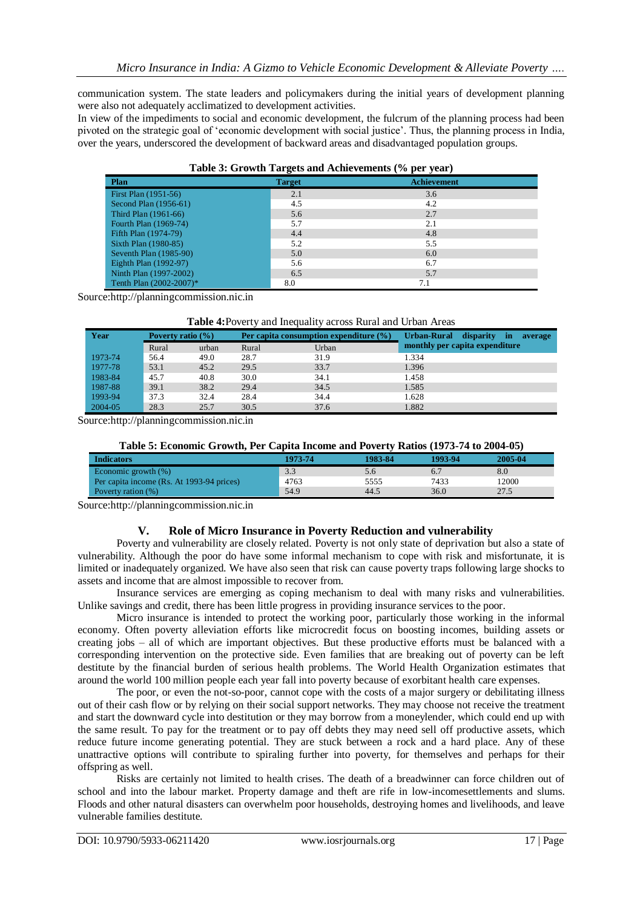communication system. The state leaders and policymakers during the initial years of development planning were also not adequately acclimatized to development activities.

In view of the impediments to social and economic development, the fulcrum of the planning process had been pivoted on the strategic goal of "economic development with social justice". Thus, the planning process in India, over the years, underscored the development of backward areas and disadvantaged population groups.

| Table 5. STOWIN Targets and Achievements (70 per year) |               |                    |  |  |  |  |  |  |
|--------------------------------------------------------|---------------|--------------------|--|--|--|--|--|--|
| Plan                                                   | <b>Target</b> | <b>Achievement</b> |  |  |  |  |  |  |
| First Plan (1951-56)                                   | 2.1           | 3.6                |  |  |  |  |  |  |
| Second Plan $(1956-61)$                                | 4.5           | 4.2                |  |  |  |  |  |  |
| Third Plan (1961-66)                                   | 5.6           | 2.7                |  |  |  |  |  |  |
| Fourth Plan (1969-74)                                  | 5.7           | 2.1                |  |  |  |  |  |  |
| Fifth Plan (1974-79)                                   | 4.4           | 4.8                |  |  |  |  |  |  |
| Sixth Plan (1980-85)                                   | 5.2           | 5.5                |  |  |  |  |  |  |
| Seventh Plan $(1985-90)$                               | 5.0           | 6.0                |  |  |  |  |  |  |
| Eighth Plan (1992-97)                                  | 5.6           | 6.7                |  |  |  |  |  |  |
| Ninth Plan (1997-2002)                                 | 6.5           | 5.7                |  |  |  |  |  |  |
| Tenth Plan (2002-2007)*                                | 8.0           | 7.1                |  |  |  |  |  |  |

## **Table 3: Growth Targets and Achievements (% per year)**

Source[:http://planningcommission.nic.in](http://planningcommission.nic.in/)

#### **Table 4:**Poverty and Inequality across Rural and Urban Areas

| Year    | Poverty ratio $(\% )$ |       |       | Per capita consumption expenditure $(\% )$ | disparity<br>Urban-Rural<br>în<br>average |  |  |
|---------|-----------------------|-------|-------|--------------------------------------------|-------------------------------------------|--|--|
|         | Rural                 | urban | Rural | Urban                                      | monthly per capita expenditure            |  |  |
| 1973-74 | 56.4                  | 49.0  | 28.7  | 31.9                                       | 1.334                                     |  |  |
| 1977-78 | 53.1                  | 45.2  | 29.5  | 33.7                                       | 1.396                                     |  |  |
| 1983-84 | 45.7                  | 40.8  | 30.0  | 34.1                                       | 1.458                                     |  |  |
| 1987-88 | 39.1                  | 38.2  | 29.4  | 34.5                                       | 1.585                                     |  |  |
| 1993-94 | 37.3                  | 32.4  | 28.4  | 34.4                                       | 1.628                                     |  |  |
| 2004-05 | 28.3                  | 25.7  | 30.5  | 37.6                                       | 1.882                                     |  |  |

Source[:http://planningcommission.nic.in](http://planningcommission.nic.in/)

#### **Table 5: Economic Growth, Per Capita Income and Poverty Ratios (1973-74 to 2004-05)**

| <b>Indicators</b>                         | 1973-74 | 1983-84 | 1993-94 | 2005-04 |
|-------------------------------------------|---------|---------|---------|---------|
| Economic growth $(\%)$                    | 3.3     |         |         | 8.0     |
| Per capita income (Rs. At 1993-94 prices) | 4763    | 5555    | 7433    | 12000   |
| Poverty ration (%)                        | 54.9    | 44.5    | 36.0    | 27.5    |

Source[:http://planningcommission.nic.in](http://planningcommission.nic.in/)

#### **V. Role of Micro Insurance in Poverty Reduction and vulnerability**

Poverty and vulnerability are closely related. Poverty is not only state of deprivation but also a state of vulnerability. Although the poor do have some informal mechanism to cope with risk and misfortunate, it is limited or inadequately organized. We have also seen that risk can cause poverty traps following large shocks to assets and income that are almost impossible to recover from.

Insurance services are emerging as coping mechanism to deal with many risks and vulnerabilities. Unlike savings and credit, there has been little progress in providing insurance services to the poor.

Micro insurance is intended to protect the working poor, particularly those working in the informal economy. Often poverty alleviation efforts like microcredit focus on boosting incomes, building assets or creating jobs – all of which are important objectives. But these productive efforts must be balanced with a corresponding intervention on the protective side. Even families that are breaking out of poverty can be left destitute by the financial burden of serious health problems. The World Health Organization estimates that around the world 100 million people each year fall into poverty because of exorbitant health care expenses.

The poor, or even the not-so-poor, cannot cope with the costs of a major surgery or debilitating illness out of their cash flow or by relying on their social support networks. They may choose not receive the treatment and start the downward cycle into destitution or they may borrow from a moneylender, which could end up with the same result. To pay for the treatment or to pay off debts they may need sell off productive assets, which reduce future income generating potential. They are stuck between a rock and a hard place. Any of these unattractive options will contribute to spiraling further into poverty, for themselves and perhaps for their offspring as well.

Risks are certainly not limited to health crises. The death of a breadwinner can force children out of school and into the labour market. Property damage and theft are rife in low-incomesettlements and slums. Floods and other natural disasters can overwhelm poor households, destroying homes and livelihoods, and leave vulnerable families destitute.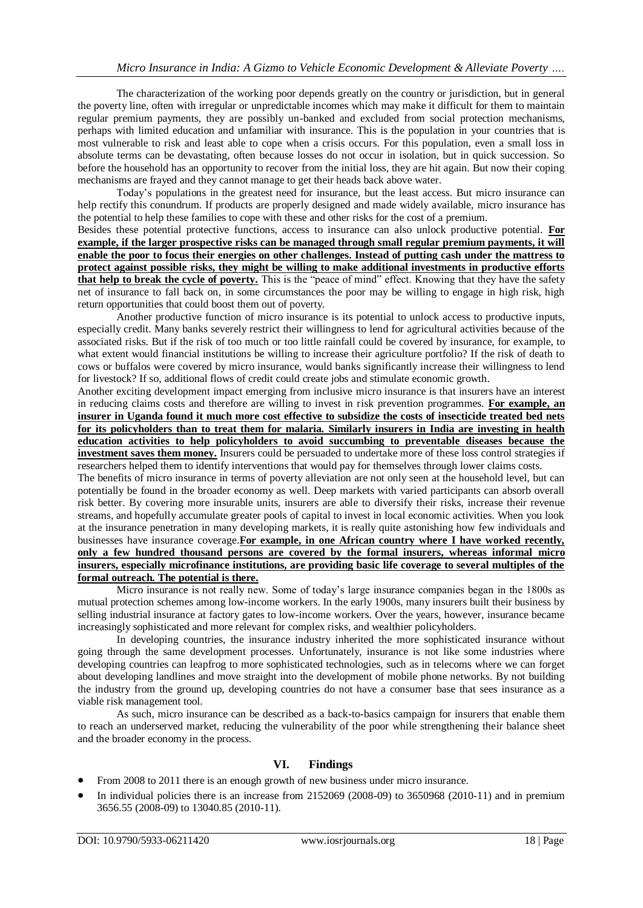The characterization of the working poor depends greatly on the country or jurisdiction, but in general the poverty line, often with irregular or unpredictable incomes which may make it difficult for them to maintain regular premium payments, they are possibly un-banked and excluded from social protection mechanisms, perhaps with limited education and unfamiliar with insurance. This is the population in your countries that is most vulnerable to risk and least able to cope when a crisis occurs. For this population, even a small loss in absolute terms can be devastating, often because losses do not occur in isolation, but in quick succession. So before the household has an opportunity to recover from the initial loss, they are hit again. But now their coping mechanisms are frayed and they cannot manage to get their heads back above water.

Today"s populations in the greatest need for insurance, but the least access. But micro insurance can help rectify this conundrum. If products are properly designed and made widely available, micro insurance has the potential to help these families to cope with these and other risks for the cost of a premium.

Besides these potential protective functions, access to insurance can also unlock productive potential. **For example, if the larger prospective risks can be managed through small regular premium payments, it will enable the poor to focus their energies on other challenges. Instead of putting cash under the mattress to protect against possible risks, they might be willing to make additional investments in productive efforts that help to break the cycle of poverty.** This is the "peace of mind" effect. Knowing that they have the safety net of insurance to fall back on, in some circumstances the poor may be willing to engage in high risk, high return opportunities that could boost them out of poverty.

Another productive function of micro insurance is its potential to unlock access to productive inputs, especially credit. Many banks severely restrict their willingness to lend for agricultural activities because of the associated risks. But if the risk of too much or too little rainfall could be covered by insurance, for example, to what extent would financial institutions be willing to increase their agriculture portfolio? If the risk of death to cows or buffalos were covered by micro insurance, would banks significantly increase their willingness to lend for livestock? If so, additional flows of credit could create jobs and stimulate economic growth.

Another exciting development impact emerging from inclusive micro insurance is that insurers have an interest in reducing claims costs and therefore are willing to invest in risk prevention programmes. **For example, an insurer in Uganda found it much more cost effective to subsidize the costs of insecticide treated bed nets for its policyholders than to treat them for malaria. Similarly insurers in India are investing in health education activities to help policyholders to avoid succumbing to preventable diseases because the investment saves them money.** Insurers could be persuaded to undertake more of these loss control strategies if researchers helped them to identify interventions that would pay for themselves through lower claims costs.

The benefits of micro insurance in terms of poverty alleviation are not only seen at the household level, but can potentially be found in the broader economy as well. Deep markets with varied participants can absorb overall risk better. By covering more insurable units, insurers are able to diversify their risks, increase their revenue streams, and hopefully accumulate greater pools of capital to invest in local economic activities. When you look at the insurance penetration in many developing markets, it is really quite astonishing how few individuals and businesses have insurance coverage.**For example, in one African country where I have worked recently, only a few hundred thousand persons are covered by the formal insurers, whereas informal micro insurers, especially microfinance institutions, are providing basic life coverage to several multiples of the formal outreach. The potential is there.** 

Micro insurance is not really new. Some of today"s large insurance companies began in the 1800s as mutual protection schemes among low-income workers. In the early 1900s, many insurers built their business by selling industrial insurance at factory gates to low-income workers. Over the years, however, insurance became increasingly sophisticated and more relevant for complex risks, and wealthier policyholders.

In developing countries, the insurance industry inherited the more sophisticated insurance without going through the same development processes. Unfortunately, insurance is not like some industries where developing countries can leapfrog to more sophisticated technologies, such as in telecoms where we can forget about developing landlines and move straight into the development of mobile phone networks. By not building the industry from the ground up, developing countries do not have a consumer base that sees insurance as a viable risk management tool.

As such, micro insurance can be described as a back-to-basics campaign for insurers that enable them to reach an underserved market, reducing the vulnerability of the poor while strengthening their balance sheet and the broader economy in the process.

# **VI. Findings**

- From 2008 to 2011 there is an enough growth of new business under micro insurance.
- In individual policies there is an increase from 2152069 (2008-09) to 3650968 (2010-11) and in premium 3656.55 (2008-09) to 13040.85 (2010-11).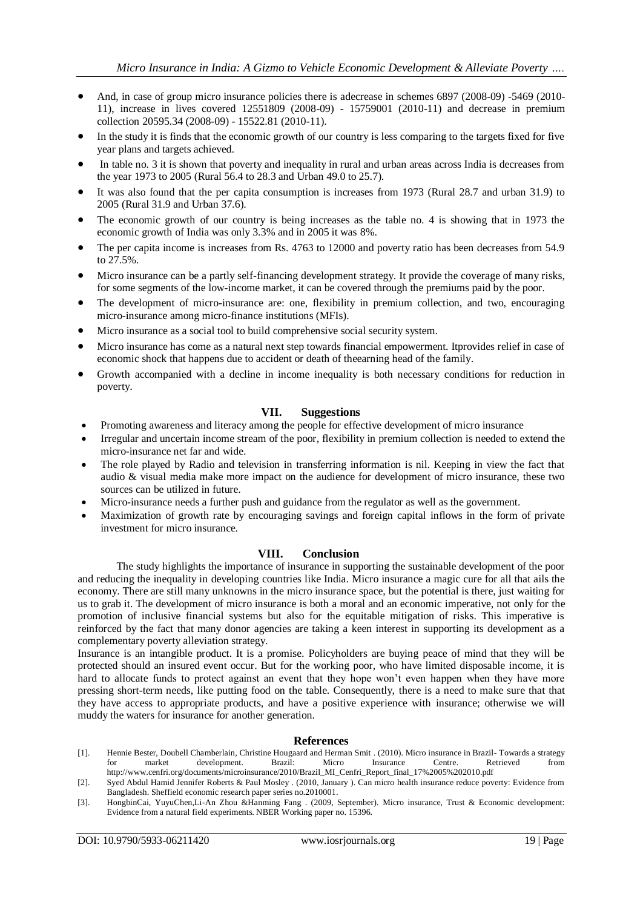- And, in case of group micro insurance policies there is adecrease in schemes 6897 (2008-09) -5469 (2010-11), increase in lives covered 12551809 (2008-09) - 15759001 (2010-11) and decrease in premium collection 20595.34 (2008-09) - 15522.81 (2010-11).
- In the study it is finds that the economic growth of our country is less comparing to the targets fixed for five year plans and targets achieved.
- In table no. 3 it is shown that poverty and inequality in rural and urban areas across India is decreases from the year 1973 to 2005 (Rural 56.4 to 28.3 and Urban 49.0 to 25.7).
- It was also found that the per capita consumption is increases from 1973 (Rural 28.7 and urban 31.9) to 2005 (Rural 31.9 and Urban 37.6).
- The economic growth of our country is being increases as the table no. 4 is showing that in 1973 the economic growth of India was only 3.3% and in 2005 it was 8%.
- The per capita income is increases from Rs. 4763 to 12000 and poverty ratio has been decreases from 54.9 to 27.5%.
- Micro insurance can be a partly self-financing development strategy. It provide the coverage of many risks, for some segments of the low-income market, it can be covered through the premiums paid by the poor.
- The development of micro-insurance are: one, flexibility in premium collection, and two, encouraging micro-insurance among micro-finance institutions (MFIs).
- Micro insurance as a social tool to build comprehensive social security system.
- Micro insurance has come as a natural next step towards financial empowerment. Itprovides relief in case of economic shock that happens due to accident or death of theearning head of the family.
- Growth accompanied with a decline in income inequality is both necessary conditions for reduction in poverty.

# **VII. Suggestions**

- Promoting awareness and literacy among the people for effective development of micro insurance
- Irregular and uncertain income stream of the poor, flexibility in premium collection is needed to extend the micro-insurance net far and wide.
- The role played by Radio and television in transferring information is nil. Keeping in view the fact that audio & visual media make more impact on the audience for development of micro insurance, these two sources can be utilized in future.
- Micro-insurance needs a further push and guidance from the regulator as well as the government.
- Maximization of growth rate by encouraging savings and foreign capital inflows in the form of private investment for micro insurance.

## **VIII. Conclusion**

The study highlights the importance of insurance in supporting the sustainable development of the poor and reducing the inequality in developing countries like India. Micro insurance a magic cure for all that ails the economy. There are still many unknowns in the micro insurance space, but the potential is there, just waiting for us to grab it. The development of micro insurance is both a moral and an economic imperative, not only for the promotion of inclusive financial systems but also for the equitable mitigation of risks. This imperative is reinforced by the fact that many donor agencies are taking a keen interest in supporting its development as a complementary poverty alleviation strategy.

Insurance is an intangible product. It is a promise. Policyholders are buying peace of mind that they will be protected should an insured event occur. But for the working poor, who have limited disposable income, it is hard to allocate funds to protect against an event that they hope won't even happen when they have more pressing short-term needs, like putting food on the table. Consequently, there is a need to make sure that that they have access to appropriate products, and have a positive experience with insurance; otherwise we will muddy the waters for insurance for another generation.

#### **References**

- [1]. Hennie Bester, Doubell Chamberlain, Christine Hougaard and Herman Smit . (2010). Micro insurance in Brazil- Towards a strategy for market development. Brazil: Micro Insurance Centre. Retrieved from http://www.cenfri.org/documents/microinsurance/2010/Brazil\_MI\_Cenfri\_Report\_final\_17%2005%202010.pdf
- [2]. Syed Abdul Hamid Jennifer Roberts & Paul Mosley . (2010, January ). Can micro health insurance reduce poverty: Evidence from Bangladesh. Sheffield economic research paper series no.2010001.
- [3]. HongbinCai, YuyuChen,Li-An Zhou &Hanming Fang . (2009, September). Micro insurance, Trust & Economic development: Evidence from a natural field experiments. NBER Working paper no. 15396.